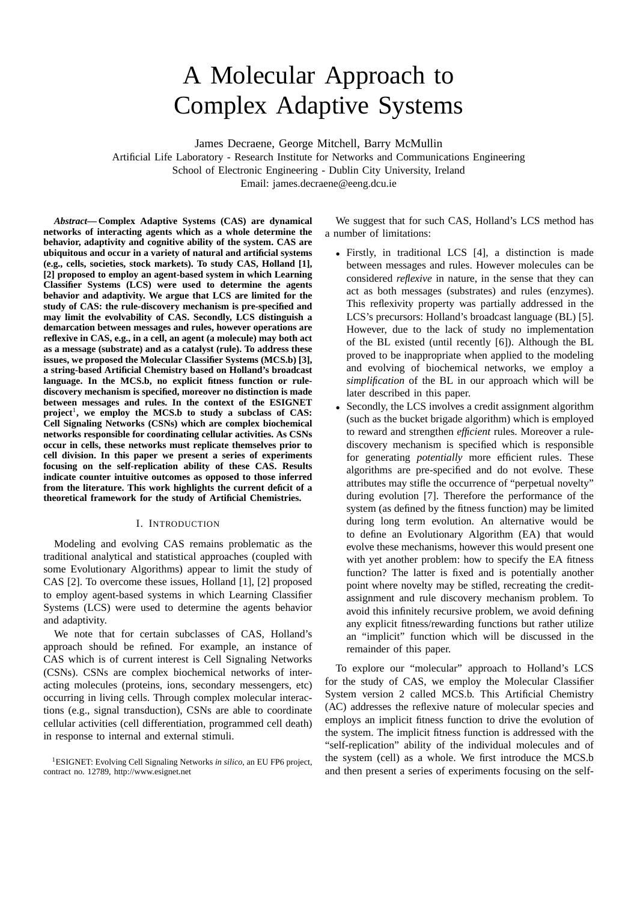# A Molecular Approach to Complex Adaptive Systems

James Decraene, George Mitchell, Barry McMullin

Artificial Life Laboratory - Research Institute for Networks and Communications Engineering School of Electronic Engineering - Dublin City University, Ireland Email: james.decraene@eeng.dcu.ie

*Abstract***— Complex Adaptive Systems (CAS) are dynamical networks of interacting agents which as a whole determine the behavior, adaptivity and cognitive ability of the system. CAS are ubiquitous and occur in a variety of natural and artificial systems (e.g., cells, societies, stock markets). To study CAS, Holland [1], [2] proposed to employ an agent-based system in which Learning Classifier Systems (LCS) were used to determine the agents behavior and adaptivity. We argue that LCS are limited for the study of CAS: the rule-discovery mechanism is pre-specified and may limit the evolvability of CAS. Secondly, LCS distinguish a demarcation between messages and rules, however operations are reflexive in CAS, e.g., in a cell, an agent (a molecule) may both act as a message (substrate) and as a catalyst (rule). To address these issues, we proposed the Molecular Classifier Systems (MCS.b) [3], a string-based Artificial Chemistry based on Holland's broadcast language. In the MCS.b, no explicit fitness function or rulediscovery mechanism is specified, moreover no distinction is made between messages and rules. In the context of the ESIGNET** project<sup>1</sup>, we employ the MCS.b to study a subclass of CAS: **Cell Signaling Networks (CSNs) which are complex biochemical networks responsible for coordinating cellular activities. As CSNs occur in cells, these networks must replicate themselves prior to cell division. In this paper we present a series of experiments focusing on the self-replication ability of these CAS. Results indicate counter intuitive outcomes as opposed to those inferred from the literature. This work highlights the current deficit of a theoretical framework for the study of Artificial Chemistries.**

### I. INTRODUCTION

Modeling and evolving CAS remains problematic as the traditional analytical and statistical approaches (coupled with some Evolutionary Algorithms) appear to limit the study of CAS [2]. To overcome these issues, Holland [1], [2] proposed to employ agent-based systems in which Learning Classifier Systems (LCS) were used to determine the agents behavior and adaptivity.

We note that for certain subclasses of CAS, Holland's approach should be refined. For example, an instance of CAS which is of current interest is Cell Signaling Networks (CSNs). CSNs are complex biochemical networks of interacting molecules (proteins, ions, secondary messengers, etc) occurring in living cells. Through complex molecular interactions (e.g., signal transduction), CSNs are able to coordinate cellular activities (cell differentiation, programmed cell death) in response to internal and external stimuli.

We suggest that for such CAS, Holland's LCS method has a number of limitations:

- Firstly, in traditional LCS [4], a distinction is made between messages and rules. However molecules can be considered *reflexive* in nature, in the sense that they can act as both messages (substrates) and rules (enzymes). This reflexivity property was partially addressed in the LCS's precursors: Holland's broadcast language (BL) [5]. However, due to the lack of study no implementation of the BL existed (until recently [6]). Although the BL proved to be inappropriate when applied to the modeling and evolving of biochemical networks, we employ a *simplification* of the BL in our approach which will be later described in this paper.
- Secondly, the LCS involves a credit assignment algorithm (such as the bucket brigade algorithm) which is employed to reward and strengthen *efficient* rules. Moreover a rulediscovery mechanism is specified which is responsible for generating *potentially* more efficient rules. These algorithms are pre-specified and do not evolve. These attributes may stifle the occurrence of "perpetual novelty" during evolution [7]. Therefore the performance of the system (as defined by the fitness function) may be limited during long term evolution. An alternative would be to define an Evolutionary Algorithm (EA) that would evolve these mechanisms, however this would present one with yet another problem: how to specify the EA fitness function? The latter is fixed and is potentially another point where novelty may be stifled, recreating the creditassignment and rule discovery mechanism problem. To avoid this infinitely recursive problem, we avoid defining any explicit fitness/rewarding functions but rather utilize an "implicit" function which will be discussed in the remainder of this paper.

To explore our "molecular" approach to Holland's LCS for the study of CAS, we employ the Molecular Classifier System version 2 called MCS.b. This Artificial Chemistry (AC) addresses the reflexive nature of molecular species and employs an implicit fitness function to drive the evolution of the system. The implicit fitness function is addressed with the "self-replication" ability of the individual molecules and of the system (cell) as a whole. We first introduce the MCS.b and then present a series of experiments focusing on the self-

<sup>1</sup>ESIGNET: Evolving Cell Signaling Networks *in silico*, an EU FP6 project, contract no. 12789, http://www.esignet.net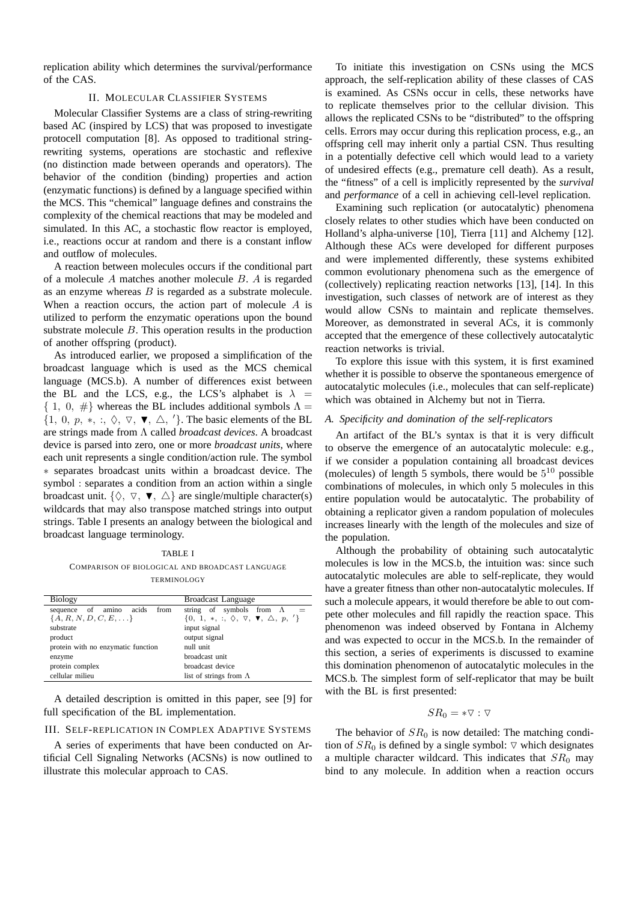replication ability which determines the survival/performance of the CAS.

## II. MOLECULAR CLASSIFIER SYSTEMS

Molecular Classifier Systems are a class of string-rewriting based AC (inspired by LCS) that was proposed to investigate protocell computation [8]. As opposed to traditional stringrewriting systems, operations are stochastic and reflexive (no distinction made between operands and operators). The behavior of the condition (binding) properties and action (enzymatic functions) is defined by a language specified within the MCS. This "chemical" language defines and constrains the complexity of the chemical reactions that may be modeled and simulated. In this AC, a stochastic flow reactor is employed, i.e., reactions occur at random and there is a constant inflow and outflow of molecules.

A reaction between molecules occurs if the conditional part of a molecule A matches another molecule B. A is regarded as an enzyme whereas  $B$  is regarded as a substrate molecule. When a reaction occurs, the action part of molecule A is utilized to perform the enzymatic operations upon the bound substrate molecule B. This operation results in the production of another offspring (product).

As introduced earlier, we proposed a simplification of the broadcast language which is used as the MCS chemical language (MCS.b). A number of differences exist between the BL and the LCS, e.g., the LCS's alphabet is  $\lambda$  =  $\{ 1, 0, \# \}$  whereas the BL includes additional symbols  $\Lambda =$  $\{1, 0, p, *, :, \Diamond, \nabla, \nabla, \triangle, \langle\}$ . The basic elements of the BL are strings made from Λ called *broadcast devices*. A broadcast device is parsed into zero, one or more *broadcast units*, where each unit represents a single condition/action rule. The symbol ∗ separates broadcast units within a broadcast device. The symbol : separates a condition from an action within a single broadcast unit.  $\{\Diamond, \nabla, \blacktriangledown, \triangle\}$  are single/multiple character(s) wildcards that may also transpose matched strings into output strings. Table I presents an analogy between the biological and broadcast language terminology.

TABLE I COMPARISON OF BIOLOGICAL AND BROADCAST LANGUAGE TERMINOLOGY

| Biology                               | <b>Broadcast Language</b>                                               |
|---------------------------------------|-------------------------------------------------------------------------|
| acids<br>from<br>of amino<br>sequence | string of symbols from $\Lambda$                                        |
| ${A, R, N, D, C, E, \ldots}$          | $\{0, 1, *, :, \Diamond, \nabla, \blacktriangledown, \triangle, p, '\}$ |
| substrate                             | input signal                                                            |
| product                               | output signal                                                           |
| protein with no enzymatic function    | null unit                                                               |
| enzyme                                | broadcast unit                                                          |
| protein complex                       | broadcast device                                                        |
| cellular milieu                       | list of strings from $\Lambda$                                          |

A detailed description is omitted in this paper, see [9] for full specification of the BL implementation.

III. SELF-REPLICATION IN COMPLEX ADAPTIVE SYSTEMS

A series of experiments that have been conducted on Artificial Cell Signaling Networks (ACSNs) is now outlined to illustrate this molecular approach to CAS.

To initiate this investigation on CSNs using the MCS approach, the self-replication ability of these classes of CAS is examined. As CSNs occur in cells, these networks have to replicate themselves prior to the cellular division. This allows the replicated CSNs to be "distributed" to the offspring cells. Errors may occur during this replication process, e.g., an offspring cell may inherit only a partial CSN. Thus resulting in a potentially defective cell which would lead to a variety of undesired effects (e.g., premature cell death). As a result, the "fitness" of a cell is implicitly represented by the *survival* and *performance* of a cell in achieving cell-level replication.

Examining such replication (or autocatalytic) phenomena closely relates to other studies which have been conducted on Holland's alpha-universe [10], Tierra [11] and Alchemy [12]. Although these ACs were developed for different purposes and were implemented differently, these systems exhibited common evolutionary phenomena such as the emergence of (collectively) replicating reaction networks [13], [14]. In this investigation, such classes of network are of interest as they would allow CSNs to maintain and replicate themselves. Moreover, as demonstrated in several ACs, it is commonly accepted that the emergence of these collectively autocatalytic reaction networks is trivial.

To explore this issue with this system, it is first examined whether it is possible to observe the spontaneous emergence of autocatalytic molecules (i.e., molecules that can self-replicate) which was obtained in Alchemy but not in Tierra.

#### *A. Specificity and domination of the self-replicators*

An artifact of the BL's syntax is that it is very difficult to observe the emergence of an autocatalytic molecule: e.g., if we consider a population containing all broadcast devices (molecules) of length 5 symbols, there would be  $5^{10}$  possible combinations of molecules, in which only 5 molecules in this entire population would be autocatalytic. The probability of obtaining a replicator given a random population of molecules increases linearly with the length of the molecules and size of the population.

Although the probability of obtaining such autocatalytic molecules is low in the MCS.b, the intuition was: since such autocatalytic molecules are able to self-replicate, they would have a greater fitness than other non-autocatalytic molecules. If such a molecule appears, it would therefore be able to out compete other molecules and fill rapidly the reaction space. This phenomenon was indeed observed by Fontana in Alchemy and was expected to occur in the MCS.b. In the remainder of this section, a series of experiments is discussed to examine this domination phenomenon of autocatalytic molecules in the MCS.b. The simplest form of self-replicator that may be built with the BL is first presented:

# $SR_0 = * \nabla : \nabla$

The behavior of  $SR<sub>0</sub>$  is now detailed: The matching condition of  $SR_0$  is defined by a single symbol:  $\nabla$  which designates a multiple character wildcard. This indicates that  $SR<sub>0</sub>$  may bind to any molecule. In addition when a reaction occurs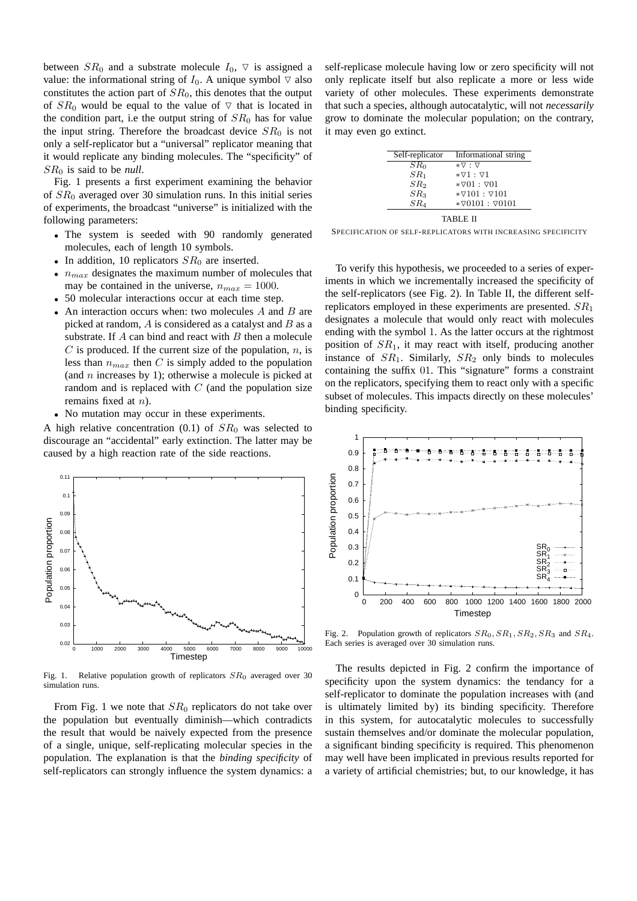between  $SR_0$  and a substrate molecule  $I_0$ ,  $\nabla$  is assigned a value: the informational string of  $I_0$ . A unique symbol  $\triangledown$  also constitutes the action part of  $SR<sub>0</sub>$ , this denotes that the output of  $SR_0$  would be equal to the value of  $\nabla$  that is located in the condition part, i.e the output string of  $SR<sub>0</sub>$  has for value the input string. Therefore the broadcast device  $SR<sub>0</sub>$  is not only a self-replicator but a "universal" replicator meaning that it would replicate any binding molecules. The "specificity" of SR<sup>0</sup> is said to be *null*.

Fig. 1 presents a first experiment examining the behavior of  $SR<sub>0</sub>$  averaged over 30 simulation runs. In this initial series of experiments, the broadcast "universe" is initialized with the following parameters:

- The system is seeded with 90 randomly generated molecules, each of length 10 symbols.
- In addition, 10 replicators  $SR<sub>0</sub>$  are inserted.
- $n_{max}$  designates the maximum number of molecules that may be contained in the universe,  $n_{max} = 1000$ .
- 50 molecular interactions occur at each time step.
- An interaction occurs when: two molecules A and B are picked at random,  $\vec{A}$  is considered as a catalyst and  $\vec{B}$  as a substrate. If  $A$  can bind and react with  $B$  then a molecule  $C$  is produced. If the current size of the population,  $n$ , is less than  $n_{max}$  then C is simply added to the population (and  $n$  increases by 1); otherwise a molecule is picked at random and is replaced with  $C$  (and the population size remains fixed at n).
- No mutation may occur in these experiments.

A high relative concentration (0.1) of  $SR<sub>0</sub>$  was selected to discourage an "accidental" early extinction. The latter may be caused by a high reaction rate of the side reactions.



Fig. 1. Relative population growth of replicators  $SR<sub>0</sub>$  averaged over 30 simulation runs.

From Fig. 1 we note that  $SR_0$  replicators do not take over the population but eventually diminish—which contradicts the result that would be naively expected from the presence of a single, unique, self-replicating molecular species in the population. The explanation is that the *binding specificity* of self-replicators can strongly influence the system dynamics: a

self-replicase molecule having low or zero specificity will not only replicate itself but also replicate a more or less wide variety of other molecules. These experiments demonstrate that such a species, although autocatalytic, will not *necessarily* grow to dominate the molecular population; on the contrary, it may even go extinct.

| Self-replicator | Informational string             |
|-----------------|----------------------------------|
| SR <sub>0</sub> | $*\triangledown$ : $\nabla$      |
| SR <sub>1</sub> | $* \nabla 1 : \nabla 1$          |
| SR <sub>2</sub> | $* \nabla 01 : \nabla 01$        |
| SR <sub>3</sub> | $* \nabla 101 : \nabla 101$      |
| SR <sub>4</sub> | $*$ $\nabla$ 0101: $\nabla$ 0101 |
|                 |                                  |

TABLE II

SPECIFICATION OF SELF-REPLICATORS WITH INCREASING SPECIFICITY

To verify this hypothesis, we proceeded to a series of experiments in which we incrementally increased the specificity of the self-replicators (see Fig. 2). In Table II, the different selfreplicators employed in these experiments are presented.  $SR<sub>1</sub>$ designates a molecule that would only react with molecules ending with the symbol 1. As the latter occurs at the rightmost position of  $SR<sub>1</sub>$ , it may react with itself, producing another instance of  $SR_1$ . Similarly,  $SR_2$  only binds to molecules containing the suffix 01. This "signature" forms a constraint on the replicators, specifying them to react only with a specific subset of molecules. This impacts directly on these molecules' binding specificity.



Fig. 2. Population growth of replicators  $SR_0$ ,  $SR_1$ ,  $SR_2$ ,  $SR_3$  and  $SR_4$ . Each series is averaged over 30 simulation runs.

The results depicted in Fig. 2 confirm the importance of specificity upon the system dynamics: the tendancy for a self-replicator to dominate the population increases with (and is ultimately limited by) its binding specificity. Therefore in this system, for autocatalytic molecules to successfully sustain themselves and/or dominate the molecular population, a significant binding specificity is required. This phenomenon may well have been implicated in previous results reported for a variety of artificial chemistries; but, to our knowledge, it has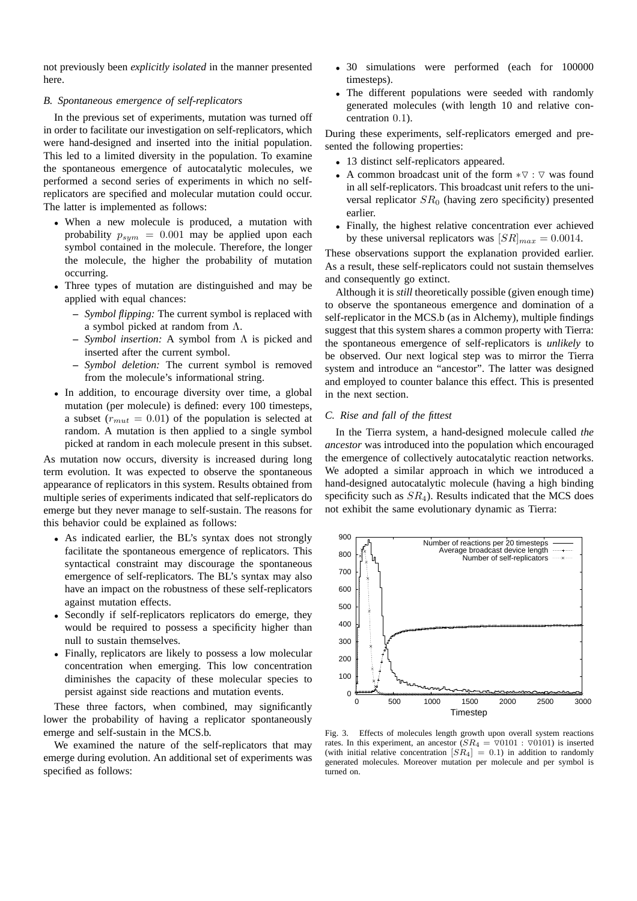not previously been *explicitly isolated* in the manner presented here.

## *B. Spontaneous emergence of self-replicators*

In the previous set of experiments, mutation was turned off in order to facilitate our investigation on self-replicators, which were hand-designed and inserted into the initial population. This led to a limited diversity in the population. To examine the spontaneous emergence of autocatalytic molecules, we performed a second series of experiments in which no selfreplicators are specified and molecular mutation could occur. The latter is implemented as follows:

- When a new molecule is produced, a mutation with probability  $p_{sym} = 0.001$  may be applied upon each symbol contained in the molecule. Therefore, the longer the molecule, the higher the probability of mutation occurring.
- Three types of mutation are distinguished and may be applied with equal chances:
	- **–** *Symbol flipping:* The current symbol is replaced with a symbol picked at random from Λ.
	- **–** *Symbol insertion:* A symbol from Λ is picked and inserted after the current symbol.
	- **–** *Symbol deletion:* The current symbol is removed from the molecule's informational string.
- In addition, to encourage diversity over time, a global mutation (per molecule) is defined: every 100 timesteps, a subset ( $r_{mut} = 0.01$ ) of the population is selected at random. A mutation is then applied to a single symbol picked at random in each molecule present in this subset.

As mutation now occurs, diversity is increased during long term evolution. It was expected to observe the spontaneous appearance of replicators in this system. Results obtained from multiple series of experiments indicated that self-replicators do emerge but they never manage to self-sustain. The reasons for this behavior could be explained as follows:

- As indicated earlier, the BL's syntax does not strongly facilitate the spontaneous emergence of replicators. This syntactical constraint may discourage the spontaneous emergence of self-replicators. The BL's syntax may also have an impact on the robustness of these self-replicators against mutation effects.
- Secondly if self-replicators replicators do emerge, they would be required to possess a specificity higher than null to sustain themselves.
- Finally, replicators are likely to possess a low molecular concentration when emerging. This low concentration diminishes the capacity of these molecular species to persist against side reactions and mutation events.

These three factors, when combined, may significantly lower the probability of having a replicator spontaneously emerge and self-sustain in the MCS.b.

We examined the nature of the self-replicators that may emerge during evolution. An additional set of experiments was specified as follows:

- 30 simulations were performed (each for 100000 timesteps).
- The different populations were seeded with randomly generated molecules (with length 10 and relative concentration 0.1).

During these experiments, self-replicators emerged and presented the following properties:

- 13 distinct self-replicators appeared.
- A common broadcast unit of the form  $*\nabla : \nabla$  was found in all self-replicators. This broadcast unit refers to the universal replicator  $SR<sub>0</sub>$  (having zero specificity) presented earlier.
- Finally, the highest relative concentration ever achieved by these universal replicators was  $[SR]_{max} = 0.0014$ .

These observations support the explanation provided earlier. As a result, these self-replicators could not sustain themselves and consequently go extinct.

Although it is *still* theoretically possible (given enough time) to observe the spontaneous emergence and domination of a self-replicator in the MCS.b (as in Alchemy), multiple findings suggest that this system shares a common property with Tierra: the spontaneous emergence of self-replicators is *unlikely* to be observed. Our next logical step was to mirror the Tierra system and introduce an "ancestor". The latter was designed and employed to counter balance this effect. This is presented in the next section.

## *C. Rise and fall of the fittest*

In the Tierra system, a hand-designed molecule called *the ancestor* was introduced into the population which encouraged the emergence of collectively autocatalytic reaction networks. We adopted a similar approach in which we introduced a hand-designed autocatalytic molecule (having a high binding specificity such as  $SR<sub>4</sub>$ ). Results indicated that the MCS does not exhibit the same evolutionary dynamic as Tierra:



Fig. 3. Effects of molecules length growth upon overall system reactions rates. In this experiment, an ancestor  $(SR_4 = \sqrt{0101} : \sqrt{0101})$  is inserted (with initial relative concentration  $[SR_4] = 0.1$ ) in addition to randomly generated molecules. Moreover mutation per molecule and per symbol is turned on.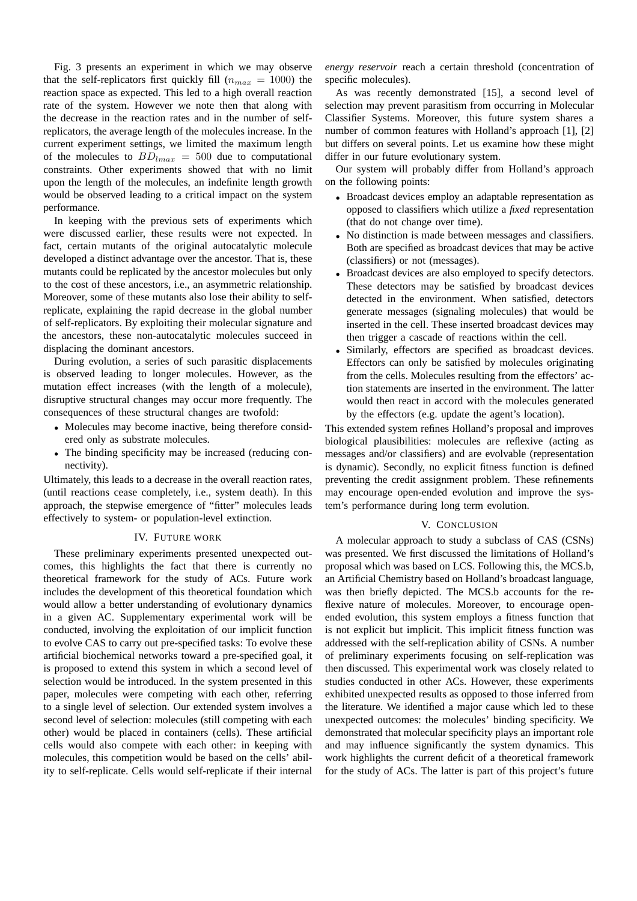Fig. 3 presents an experiment in which we may observe that the self-replicators first quickly fill  $(n_{max} = 1000)$  the reaction space as expected. This led to a high overall reaction rate of the system. However we note then that along with the decrease in the reaction rates and in the number of selfreplicators, the average length of the molecules increase. In the current experiment settings, we limited the maximum length of the molecules to  $BD_{lmax} = 500$  due to computational constraints. Other experiments showed that with no limit upon the length of the molecules, an indefinite length growth would be observed leading to a critical impact on the system performance.

In keeping with the previous sets of experiments which were discussed earlier, these results were not expected. In fact, certain mutants of the original autocatalytic molecule developed a distinct advantage over the ancestor. That is, these mutants could be replicated by the ancestor molecules but only to the cost of these ancestors, i.e., an asymmetric relationship. Moreover, some of these mutants also lose their ability to selfreplicate, explaining the rapid decrease in the global number of self-replicators. By exploiting their molecular signature and the ancestors, these non-autocatalytic molecules succeed in displacing the dominant ancestors.

During evolution, a series of such parasitic displacements is observed leading to longer molecules. However, as the mutation effect increases (with the length of a molecule), disruptive structural changes may occur more frequently. The consequences of these structural changes are twofold:

- Molecules may become inactive, being therefore considered only as substrate molecules.
- The binding specificity may be increased (reducing connectivity).

Ultimately, this leads to a decrease in the overall reaction rates, (until reactions cease completely, i.e., system death). In this approach, the stepwise emergence of "fitter" molecules leads effectively to system- or population-level extinction.

#### IV. FUTURE WORK

These preliminary experiments presented unexpected outcomes, this highlights the fact that there is currently no theoretical framework for the study of ACs. Future work includes the development of this theoretical foundation which would allow a better understanding of evolutionary dynamics in a given AC. Supplementary experimental work will be conducted, involving the exploitation of our implicit function to evolve CAS to carry out pre-specified tasks: To evolve these artificial biochemical networks toward a pre-specified goal, it is proposed to extend this system in which a second level of selection would be introduced. In the system presented in this paper, molecules were competing with each other, referring to a single level of selection. Our extended system involves a second level of selection: molecules (still competing with each other) would be placed in containers (cells). These artificial cells would also compete with each other: in keeping with molecules, this competition would be based on the cells' ability to self-replicate. Cells would self-replicate if their internal

*energy reservoir* reach a certain threshold (concentration of specific molecules).

As was recently demonstrated [15], a second level of selection may prevent parasitism from occurring in Molecular Classifier Systems. Moreover, this future system shares a number of common features with Holland's approach [1], [2] but differs on several points. Let us examine how these might differ in our future evolutionary system.

Our system will probably differ from Holland's approach on the following points:

- Broadcast devices employ an adaptable representation as opposed to classifiers which utilize a *fixed* representation (that do not change over time).
- No distinction is made between messages and classifiers. Both are specified as broadcast devices that may be active (classifiers) or not (messages).
- Broadcast devices are also employed to specify detectors. These detectors may be satisfied by broadcast devices detected in the environment. When satisfied, detectors generate messages (signaling molecules) that would be inserted in the cell. These inserted broadcast devices may then trigger a cascade of reactions within the cell.
- Similarly, effectors are specified as broadcast devices. Effectors can only be satisfied by molecules originating from the cells. Molecules resulting from the effectors' action statements are inserted in the environment. The latter would then react in accord with the molecules generated by the effectors (e.g. update the agent's location).

This extended system refines Holland's proposal and improves biological plausibilities: molecules are reflexive (acting as messages and/or classifiers) and are evolvable (representation is dynamic). Secondly, no explicit fitness function is defined preventing the credit assignment problem. These refinements may encourage open-ended evolution and improve the system's performance during long term evolution.

#### V. CONCLUSION

A molecular approach to study a subclass of CAS (CSNs) was presented. We first discussed the limitations of Holland's proposal which was based on LCS. Following this, the MCS.b, an Artificial Chemistry based on Holland's broadcast language, was then briefly depicted. The MCS.b accounts for the reflexive nature of molecules. Moreover, to encourage openended evolution, this system employs a fitness function that is not explicit but implicit. This implicit fitness function was addressed with the self-replication ability of CSNs. A number of preliminary experiments focusing on self-replication was then discussed. This experimental work was closely related to studies conducted in other ACs. However, these experiments exhibited unexpected results as opposed to those inferred from the literature. We identified a major cause which led to these unexpected outcomes: the molecules' binding specificity. We demonstrated that molecular specificity plays an important role and may influence significantly the system dynamics. This work highlights the current deficit of a theoretical framework for the study of ACs. The latter is part of this project's future